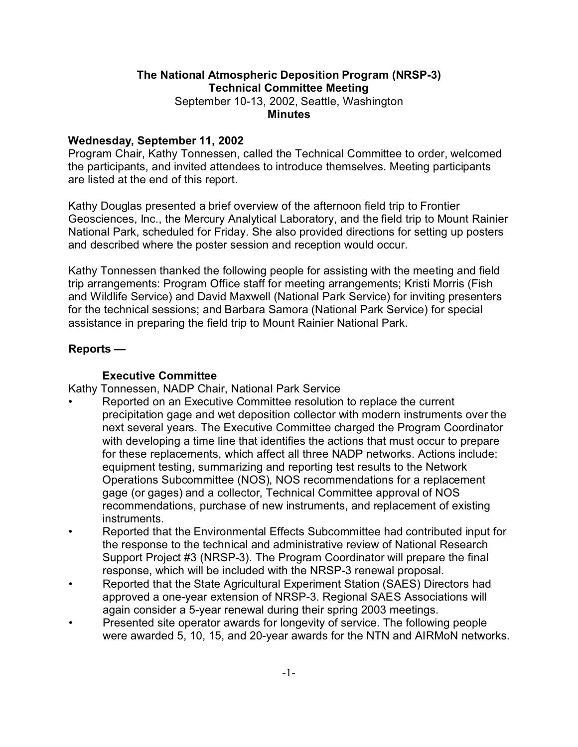# **The National Atmospheric Deposition Program (NRSP-3) Technical Committee Meeting**

September 10-13, 2002, Seattle, Washington **Minutes**

#### **Wednesday, September 11, 2002**

Program Chair, Kathy Tonnessen, called the Technical Committee to order, welcomed the participants, and invited attendees to introduce themselves. Meeting participants are listed at the end of this report.

Kathy Douglas presented a brief overview of the afternoon field trip to Frontier Geosciences, Inc., the Mercury Analytical Laboratory, and the field trip to Mount Rainier National Park, scheduled for Friday. She also provided directions for setting up posters and described where the poster session and reception would occur.

Kathy Tonnessen thanked the following people for assisting with the meeting and field trip arrangements: Program Office staff for meeting arrangements; Kristi Morris (Fish and Wildlife Service) and David Maxwell (National Park Service) for inviting presenters for the technical sessions; and Barbara Samora (National Park Service) for special assistance in preparing the field trip to Mount Rainier National Park.

### **Reports —**

### **Executive Committee**

Kathy Tonnessen, NADP Chair, National Park Service

- Reported on an Executive Committee resolution to replace the current precipitation gage and wet deposition collector with modern instruments over the next several years. The Executive Committee charged the Program Coordinator with developing a time line that identifies the actions that must occur to prepare for these replacements, which affect all three NADP networks. Actions include: equipment testing, summarizing and reporting test results to the Network Operations Subcommittee (NOS), NOS recommendations for a replacement gage (or gages) and a collector, Technical Committee approval of NOS recommendations, purchase of new instruments, and replacement of existing instruments.
- Reported that the Environmental Effects Subcommittee had contributed input for the response to the technical and administrative review of National Research Support Project #3 (NRSP-3). The Program Coordinator will prepare the final response, which will be included with the NRSP-3 renewal proposal.
- Reported that the State Agricultural Experiment Station (SAES) Directors had approved a one-year extension of NRSP-3. Regional SAES Associations will again consider a 5-year renewal during their spring 2003 meetings.
- Presented site operator awards for longevity of service. The following people were awarded 5, 10, 15, and 20-year awards for the NTN and AIRMoN networks.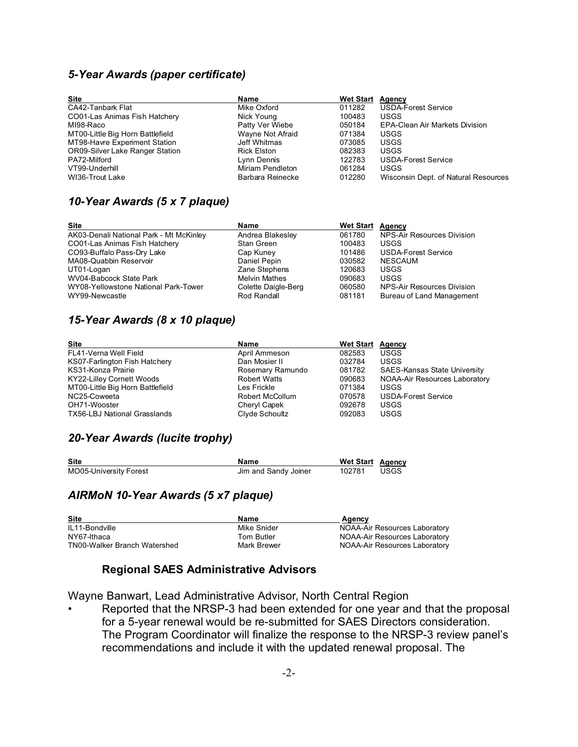#### *5-Year Awards (paper certificate)*

| <b>Site</b>                            | Name               | <b>Wet Start</b> | Agency                                |
|----------------------------------------|--------------------|------------------|---------------------------------------|
| CA42-Tanbark Flat                      | Mike Oxford        | 011282           | <b>USDA-Forest Service</b>            |
| CO01-Las Animas Fish Hatchery          | Nick Young         | 100483           | <b>USGS</b>                           |
| MI98-Raco                              | Patty Ver Wiebe    | 050184           | <b>EPA-Clean Air Markets Division</b> |
| MT00-Little Big Horn Battlefield       | Wayne Not Afraid   | 071384           | <b>USGS</b>                           |
| MT98-Havre Experiment Station          | Jeff Whitmas       | 073085           | <b>USGS</b>                           |
| <b>OR09-Silver Lake Ranger Station</b> | <b>Rick Elston</b> | 082383           | <b>USGS</b>                           |
| PA72-Milford                           | Lynn Dennis        | 122783           | <b>USDA-Forest Service</b>            |
| VT99-Underhill                         | Miriam Pendleton   | 061284           | <b>USGS</b>                           |
| WI36-Trout Lake                        | Barbara Reinecke   | 012280           | Wisconsin Dept. of Natural Resources  |

### *10-Year Awards (5 x 7 plaque)*

| <b>Site</b>                             | Name                 | <b>Wet Start Agency</b> |                            |
|-----------------------------------------|----------------------|-------------------------|----------------------------|
| AK03-Denali National Park - Mt McKinley | Andrea Blakesley     | 061780                  | NPS-Air Resources Division |
| CO01-Las Animas Fish Hatchery           | Stan Green           | 100483                  | USGS                       |
| CO93-Buffalo Pass-Dry Lake              | Cap Kuney            | 101486                  | <b>USDA-Forest Service</b> |
| MA08-Quabbin Reservoir                  | Daniel Pepin         | 030582                  | NESCAUM                    |
| UT01-Logan                              | Zane Stephens        | 120683                  | <b>USGS</b>                |
| WV04-Babcock State Park                 | <b>Melvin Mathes</b> | 090683                  | <b>USGS</b>                |
| WY08-Yellowstone National Park-Tower    | Colette Daigle-Berg  | 060580                  | NPS-Air Resources Division |
| WY99-Newcastle                          | Rod Randall          | 081181                  | Bureau of Land Management  |

#### *15-Year Awards (8 x 10 plaque)*

| <b>Site</b>                         | Name                | <b>Wet Start Agency</b> |                                      |
|-------------------------------------|---------------------|-------------------------|--------------------------------------|
| FL41-Verna Well Field               | April Ammeson       | 082583                  | <b>USGS</b>                          |
| KS07-Farlington Fish Hatchery       | Dan Mosier II       | 032784                  | <b>USGS</b>                          |
| KS31-Konza Prairie                  | Rosemary Ramundo    | 081782                  | <b>SAES-Kansas State University</b>  |
| <b>KY22-Lilley Cornett Woods</b>    | <b>Robert Watts</b> | 090683                  | <b>NOAA-Air Resources Laboratory</b> |
| MT00-Little Big Horn Battlefield    | Les Frickle         | 071384                  | USGS                                 |
| NC25-Coweeta                        | Robert McCollum     | 070578                  | <b>USDA-Forest Service</b>           |
| OH71-Wooster                        | Cheryl Capek        | 092678                  | <b>USGS</b>                          |
| <b>TX56-LBJ National Grasslands</b> | Clyde Schoultz      | 092083                  | <b>USGS</b>                          |

### *20-Year Awards (lucite trophy)*

| <b>Site</b>            | Name                 | <b>Wet Start Agency</b> |      |
|------------------------|----------------------|-------------------------|------|
| MO05-University Forest | Jim and Sandy Joiner | 102781                  | USGS |

#### *AIRMoN 10-Year Awards (5 x7 plaque)*

| <b>Site</b>                  | Name        | Agency                        |
|------------------------------|-------------|-------------------------------|
| IL11-Bondville               | Mike Snider | NOAA-Air Resources Laboratory |
| NY67-Ithaca                  | Tom Butler  | NOAA-Air Resources Laboratory |
| TN00-Walker Branch Watershed | Mark Brewer | NOAA-Air Resources Laboratory |

# **Regional SAES Administrative Advisors**

Wayne Banwart, Lead Administrative Advisor, North Central Region

• Reported that the NRSP-3 had been extended for one year and that the proposal for a 5-year renewal would be re-submitted for SAES Directors consideration. The Program Coordinator will finalize the response to the NRSP-3 review panel's recommendations and include it with the updated renewal proposal. The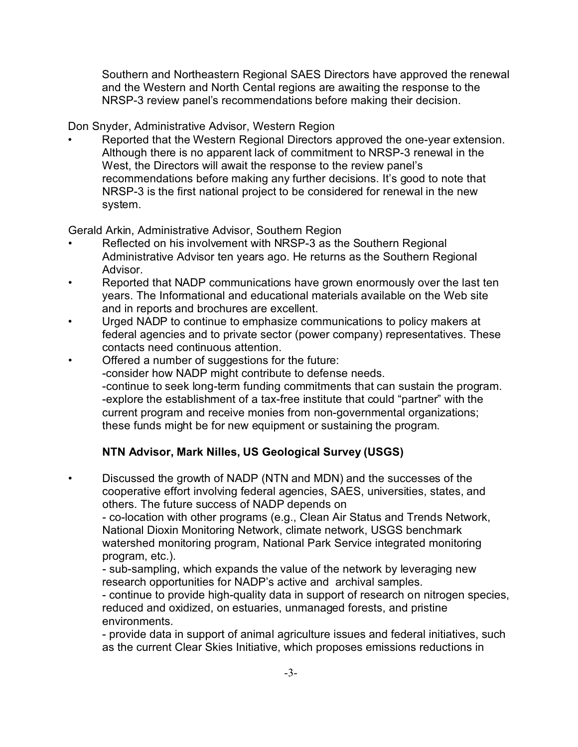Southern and Northeastern Regional SAES Directors have approved the renewal and the Western and North Cental regions are awaiting the response to the NRSP-3 review panel's recommendations before making their decision.

Don Snyder, Administrative Advisor, Western Region

• Reported that the Western Regional Directors approved the one-year extension. Although there is no apparent lack of commitment to NRSP-3 renewal in the West, the Directors will await the response to the review panel's recommendations before making any further decisions. It's good to note that NRSP-3 is the first national project to be considered for renewal in the new system.

Gerald Arkin, Administrative Advisor, Southern Region

- Reflected on his involvement with NRSP-3 as the Southern Regional Administrative Advisor ten years ago. He returns as the Southern Regional Advisor.
- Reported that NADP communications have grown enormously over the last ten years. The Informational and educational materials available on the Web site and in reports and brochures are excellent.
- Urged NADP to continue to emphasize communications to policy makers at federal agencies and to private sector (power company) representatives. These contacts need continuous attention.
- Offered a number of suggestions for the future: -consider how NADP might contribute to defense needs. -continue to seek long-term funding commitments that can sustain the program. -explore the establishment of a tax-free institute that could "partner" with the current program and receive monies from non-governmental organizations; these funds might be for new equipment or sustaining the program.

# **NTN Advisor, Mark Nilles, US Geological Survey (USGS)**

• Discussed the growth of NADP (NTN and MDN) and the successes of the cooperative effort involving federal agencies, SAES, universities, states, and others. The future success of NADP depends on

- co-location with other programs (e.g., Clean Air Status and Trends Network, National Dioxin Monitoring Network, climate network, USGS benchmark watershed monitoring program, National Park Service integrated monitoring program, etc.).

- sub-sampling, which expands the value of the network by leveraging new research opportunities for NADP's active and archival samples.

- continue to provide high-quality data in support of research on nitrogen species, reduced and oxidized, on estuaries, unmanaged forests, and pristine environments.

- provide data in support of animal agriculture issues and federal initiatives, such as the current Clear Skies Initiative, which proposes emissions reductions in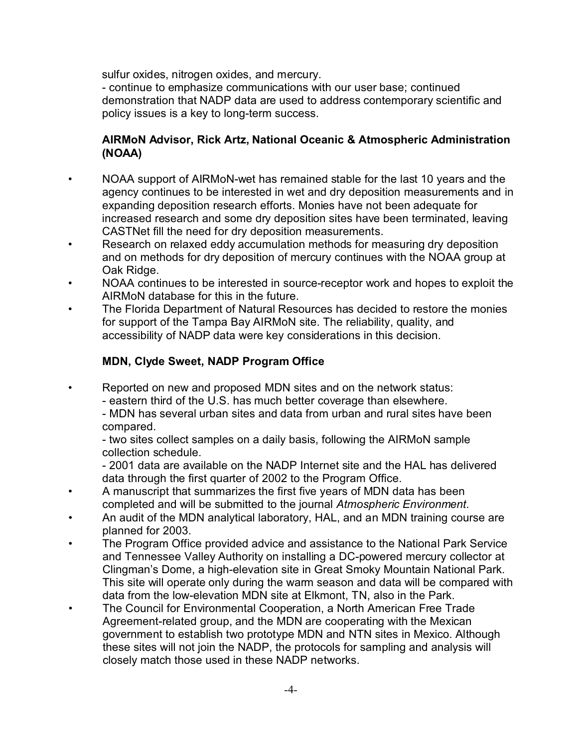sulfur oxides, nitrogen oxides, and mercury.

- continue to emphasize communications with our user base; continued demonstration that NADP data are used to address contemporary scientific and policy issues is a key to long-term success.

## **AIRMoN Advisor, Rick Artz, National Oceanic & Atmospheric Administration (NOAA)**

- NOAA support of AIRMoN-wet has remained stable for the last 10 years and the agency continues to be interested in wet and dry deposition measurements and in expanding deposition research efforts. Monies have not been adequate for increased research and some dry deposition sites have been terminated, leaving CASTNet fill the need for dry deposition measurements.
- Research on relaxed eddy accumulation methods for measuring dry deposition and on methods for dry deposition of mercury continues with the NOAA group at Oak Ridge.
- NOAA continues to be interested in source-receptor work and hopes to exploit the AIRMoN database for this in the future.
- The Florida Department of Natural Resources has decided to restore the monies for support of the Tampa Bay AIRMoN site. The reliability, quality, and accessibility of NADP data were key considerations in this decision.

# **MDN, Clyde Sweet, NADP Program Office**

• Reported on new and proposed MDN sites and on the network status:

- eastern third of the U.S. has much better coverage than elsewhere.

- MDN has several urban sites and data from urban and rural sites have been compared.

- two sites collect samples on a daily basis, following the AIRMoN sample collection schedule.

- 2001 data are available on the NADP Internet site and the HAL has delivered data through the first quarter of 2002 to the Program Office.

- A manuscript that summarizes the first five years of MDN data has been completed and will be submitted to the journal *Atmospheric Environment*.
- An audit of the MDN analytical laboratory, HAL, and an MDN training course are planned for 2003.
- The Program Office provided advice and assistance to the National Park Service and Tennessee Valley Authority on installing a DC-powered mercury collector at Clingman's Dome, a high-elevation site in Great Smoky Mountain National Park. This site will operate only during the warm season and data will be compared with data from the low-elevation MDN site at Elkmont, TN, also in the Park.
- The Council for Environmental Cooperation, a North American Free Trade Agreement-related group, and the MDN are cooperating with the Mexican government to establish two prototype MDN and NTN sites in Mexico. Although these sites will not join the NADP, the protocols for sampling and analysis will closely match those used in these NADP networks.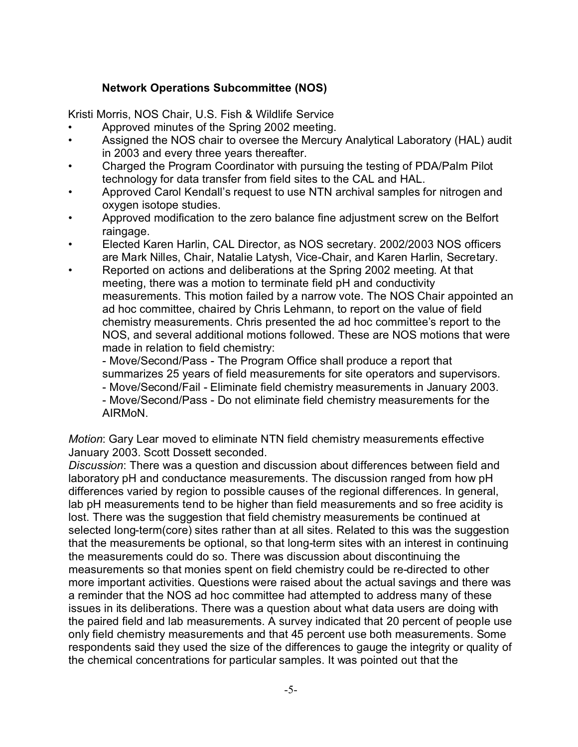## **Network Operations Subcommittee (NOS)**

Kristi Morris, NOS Chair, U.S. Fish & Wildlife Service

- Approved minutes of the Spring 2002 meeting.
- Assigned the NOS chair to oversee the Mercury Analytical Laboratory (HAL) audit in 2003 and every three years thereafter.
- Charged the Program Coordinator with pursuing the testing of PDA/Palm Pilot technology for data transfer from field sites to the CAL and HAL.
- Approved Carol Kendall's request to use NTN archival samples for nitrogen and oxygen isotope studies.
- Approved modification to the zero balance fine adjustment screw on the Belfort raingage.
- Elected Karen Harlin, CAL Director, as NOS secretary. 2002/2003 NOS officers are Mark Nilles, Chair, Natalie Latysh, Vice-Chair, and Karen Harlin, Secretary.
- Reported on actions and deliberations at the Spring 2002 meeting. At that meeting, there was a motion to terminate field pH and conductivity measurements. This motion failed by a narrow vote. The NOS Chair appointed an ad hoc committee, chaired by Chris Lehmann, to report on the value of field chemistry measurements. Chris presented the ad hoc committee's report to the NOS, and several additional motions followed. These are NOS motions that were made in relation to field chemistry:

- Move/Second/Pass - The Program Office shall produce a report that summarizes 25 years of field measurements for site operators and supervisors. - Move/Second/Fail - Eliminate field chemistry measurements in January 2003.

- Move/Second/Pass - Do not eliminate field chemistry measurements for the AIRMoN.

*Motion*: Gary Lear moved to eliminate NTN field chemistry measurements effective January 2003. Scott Dossett seconded.

*Discussion*: There was a question and discussion about differences between field and laboratory pH and conductance measurements. The discussion ranged from how pH differences varied by region to possible causes of the regional differences. In general, lab pH measurements tend to be higher than field measurements and so free acidity is lost. There was the suggestion that field chemistry measurements be continued at selected long-term(core) sites rather than at all sites. Related to this was the suggestion that the measurements be optional, so that long-term sites with an interest in continuing the measurements could do so. There was discussion about discontinuing the measurements so that monies spent on field chemistry could be re-directed to other more important activities. Questions were raised about the actual savings and there was a reminder that the NOS ad hoc committee had attempted to address many of these issues in its deliberations. There was a question about what data users are doing with the paired field and lab measurements. A survey indicated that 20 percent of people use only field chemistry measurements and that 45 percent use both measurements. Some respondents said they used the size of the differences to gauge the integrity or quality of the chemical concentrations for particular samples. It was pointed out that the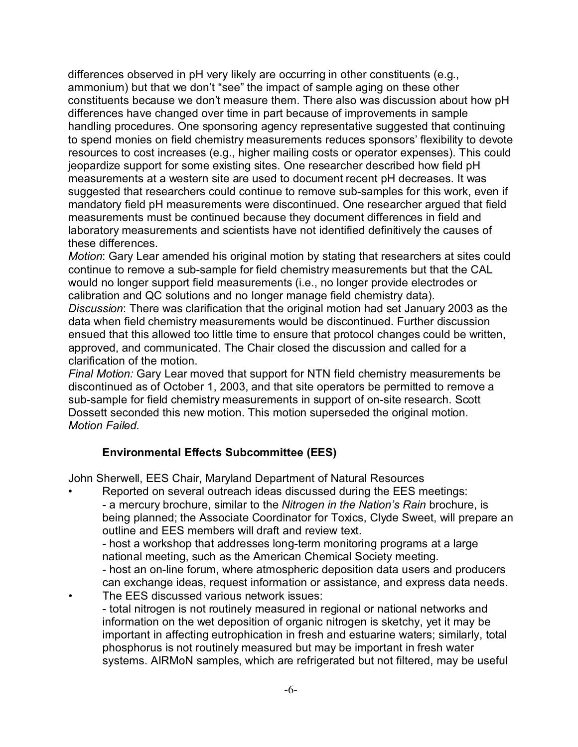differences observed in pH very likely are occurring in other constituents (e.g., ammonium) but that we don't "see" the impact of sample aging on these other constituents because we don't measure them. There also was discussion about how pH differences have changed over time in part because of improvements in sample handling procedures. One sponsoring agency representative suggested that continuing to spend monies on field chemistry measurements reduces sponsors' flexibility to devote resources to cost increases (e.g., higher mailing costs or operator expenses). This could jeopardize support for some existing sites. One researcher described how field pH measurements at a western site are used to document recent pH decreases. It was suggested that researchers could continue to remove sub-samples for this work, even if mandatory field pH measurements were discontinued. One researcher argued that field measurements must be continued because they document differences in field and laboratory measurements and scientists have not identified definitively the causes of these differences.

*Motion*: Gary Lear amended his original motion by stating that researchers at sites could continue to remove a sub-sample for field chemistry measurements but that the CAL would no longer support field measurements (i.e., no longer provide electrodes or calibration and QC solutions and no longer manage field chemistry data).

*Discussion*: There was clarification that the original motion had set January 2003 as the data when field chemistry measurements would be discontinued. Further discussion ensued that this allowed too little time to ensure that protocol changes could be written, approved, and communicated. The Chair closed the discussion and called for a clarification of the motion.

*Final Motion:* Gary Lear moved that support for NTN field chemistry measurements be discontinued as of October 1, 2003, and that site operators be permitted to remove a sub-sample for field chemistry measurements in support of on-site research. Scott Dossett seconded this new motion. This motion superseded the original motion. *Motion Failed.*

## **Environmental Effects Subcommittee (EES)**

John Sherwell, EES Chair, Maryland Department of Natural Resources

• Reported on several outreach ideas discussed during the EES meetings: - a mercury brochure, similar to the *Nitrogen in the Nation's Rain* brochure, is being planned; the Associate Coordinator for Toxics, Clyde Sweet, will prepare an outline and EES members will draft and review text.

- host a workshop that addresses long-term monitoring programs at a large national meeting, such as the American Chemical Society meeting.

- host an on-line forum, where atmospheric deposition data users and producers can exchange ideas, request information or assistance, and express data needs. • The EES discussed various network issues:

- total nitrogen is not routinely measured in regional or national networks and information on the wet deposition of organic nitrogen is sketchy, yet it may be important in affecting eutrophication in fresh and estuarine waters; similarly, total phosphorus is not routinely measured but may be important in fresh water systems. AIRMoN samples, which are refrigerated but not filtered, may be useful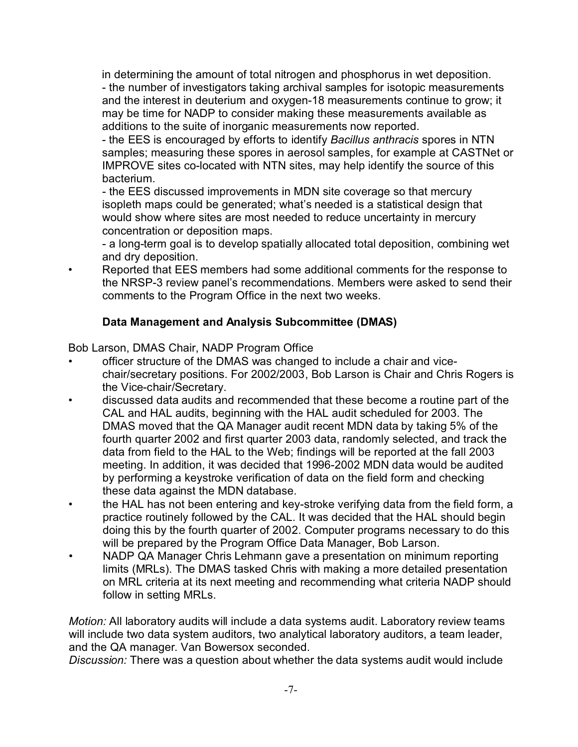in determining the amount of total nitrogen and phosphorus in wet deposition. - the number of investigators taking archival samples for isotopic measurements and the interest in deuterium and oxygen-18 measurements continue to grow; it may be time for NADP to consider making these measurements available as additions to the suite of inorganic measurements now reported.

- the EES is encouraged by efforts to identify *Bacillus anthracis* spores in NTN samples; measuring these spores in aerosol samples, for example at CASTNet or IMPROVE sites co-located with NTN sites, may help identify the source of this bacterium.

- the EES discussed improvements in MDN site coverage so that mercury isopleth maps could be generated; what's needed is a statistical design that would show where sites are most needed to reduce uncertainty in mercury concentration or deposition maps.

- a long-term goal is to develop spatially allocated total deposition, combining wet and dry deposition.

• Reported that EES members had some additional comments for the response to the NRSP-3 review panel's recommendations. Members were asked to send their comments to the Program Office in the next two weeks.

# **Data Management and Analysis Subcommittee (DMAS)**

Bob Larson, DMAS Chair, NADP Program Office

- officer structure of the DMAS was changed to include a chair and vicechair/secretary positions. For 2002/2003, Bob Larson is Chair and Chris Rogers is the Vice-chair/Secretary.
- discussed data audits and recommended that these become a routine part of the CAL and HAL audits, beginning with the HAL audit scheduled for 2003. The DMAS moved that the QA Manager audit recent MDN data by taking 5% of the fourth quarter 2002 and first quarter 2003 data, randomly selected, and track the data from field to the HAL to the Web; findings will be reported at the fall 2003 meeting. In addition, it was decided that 1996-2002 MDN data would be audited by performing a keystroke verification of data on the field form and checking these data against the MDN database.
- the HAL has not been entering and key-stroke verifying data from the field form, a practice routinely followed by the CAL. It was decided that the HAL should begin doing this by the fourth quarter of 2002. Computer programs necessary to do this will be prepared by the Program Office Data Manager, Bob Larson.
- NADP QA Manager Chris Lehmann gave a presentation on minimum reporting limits (MRLs). The DMAS tasked Chris with making a more detailed presentation on MRL criteria at its next meeting and recommending what criteria NADP should follow in setting MRLs.

*Motion:* All laboratory audits will include a data systems audit. Laboratory review teams will include two data system auditors, two analytical laboratory auditors, a team leader, and the QA manager. Van Bowersox seconded.

*Discussion:* There was a question about whether the data systems audit would include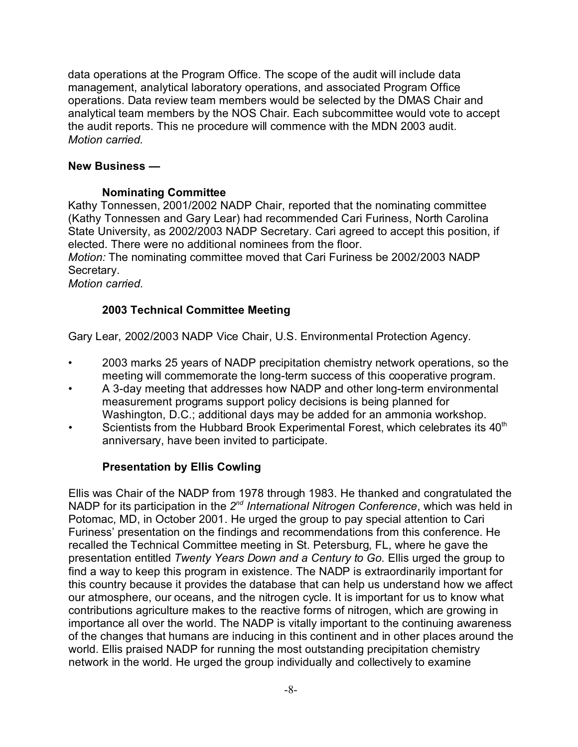data operations at the Program Office. The scope of the audit will include data management, analytical laboratory operations, and associated Program Office operations. Data review team members would be selected by the DMAS Chair and analytical team members by the NOS Chair. Each subcommittee would vote to accept the audit reports. This ne procedure will commence with the MDN 2003 audit. *Motion carried.* 

### **New Business —**

### **Nominating Committee**

Kathy Tonnessen, 2001/2002 NADP Chair, reported that the nominating committee (Kathy Tonnessen and Gary Lear) had recommended Cari Furiness, North Carolina State University, as 2002/2003 NADP Secretary. Cari agreed to accept this position, if elected. There were no additional nominees from the floor.

*Motion:* The nominating committee moved that Cari Furiness be 2002/2003 NADP Secretary.

*Motion carried.*

## **2003 Technical Committee Meeting**

Gary Lear, 2002/2003 NADP Vice Chair, U.S. Environmental Protection Agency.

- 2003 marks 25 years of NADP precipitation chemistry network operations, so the meeting will commemorate the long-term success of this cooperative program.
- A 3-day meeting that addresses how NADP and other long-term environmental measurement programs support policy decisions is being planned for Washington, D.C.; additional days may be added for an ammonia workshop.
- Scientists from the Hubbard Brook Experimental Forest, which celebrates its 40<sup>th</sup> anniversary, have been invited to participate.

### **Presentation by Ellis Cowling**

Ellis was Chair of the NADP from 1978 through 1983. He thanked and congratulated the NADP for its participation in the 2<sup>nd</sup> International Nitrogen Conference, which was held in Potomac, MD, in October 2001. He urged the group to pay special attention to Cari Furiness' presentation on the findings and recommendations from this conference. He recalled the Technical Committee meeting in St. Petersburg, FL, where he gave the presentation entitled *Twenty Years Down and a Century to Go.* Ellis urged the group to find a way to keep this program in existence. The NADP is extraordinarily important for this country because it provides the database that can help us understand how we affect our atmosphere, our oceans, and the nitrogen cycle. It is important for us to know what contributions agriculture makes to the reactive forms of nitrogen, which are growing in importance all over the world. The NADP is vitally important to the continuing awareness of the changes that humans are inducing in this continent and in other places around the world. Ellis praised NADP for running the most outstanding precipitation chemistry network in the world. He urged the group individually and collectively to examine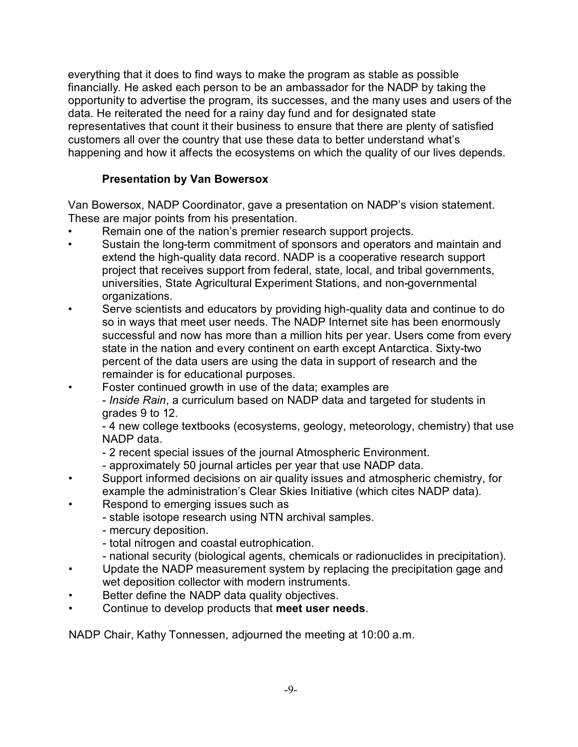everything that it does to find ways to make the program as stable as possible financially. He asked each person to be an ambassador for the NADP by taking the opportunity to advertise the program, its successes, and the many uses and users of the data. He reiterated the need for a rainy day fund and for designated state representatives that count it their business to ensure that there are plenty of satisfied customers all over the country that use these data to better understand what's happening and how it affects the ecosystems on which the quality of our lives depends.

# **Presentation by Van Bowersox**

Van Bowersox, NADP Coordinator, gave a presentation on NADP's vision statement. These are major points from his presentation.

- Remain one of the nation's premier research support projects.
- Sustain the long-term commitment of sponsors and operators and maintain and extend the high-quality data record. NADP is a cooperative research support project that receives support from federal, state, local, and tribal governments, universities, State Agricultural Experiment Stations, and non-governmental organizations.
- Serve scientists and educators by providing high-quality data and continue to do so in ways that meet user needs. The NADP Internet site has been enormously successful and now has more than a million hits per year. Users come from every state in the nation and every continent on earth except Antarctica. Sixty-two percent of the data users are using the data in support of research and the remainder is for educational purposes.
- Foster continued growth in use of the data; examples are

- *Inside Rain*, a curriculum based on NADP data and targeted for students in grades 9 to 12.

- 4 new college textbooks (ecosystems, geology, meteorology, chemistry) that use NADP data.

- 2 recent special issues of the journal Atmospheric Environment.
- approximately 50 journal articles per year that use NADP data.
- Support informed decisions on air quality issues and atmospheric chemistry, for example the administration's Clear Skies Initiative (which cites NADP data).
- Respond to emerging issues such as
	- stable isotope research using NTN archival samples.
	- mercury deposition.
	- total nitrogen and coastal eutrophication.
	- national security (biological agents, chemicals or radionuclides in precipitation).
- Update the NADP measurement system by replacing the precipitation gage and wet deposition collector with modern instruments.
- Better define the NADP data quality objectives.
- Continue to develop products that **meet user needs**.

NADP Chair, Kathy Tonnessen, adjourned the meeting at 10:00 a.m.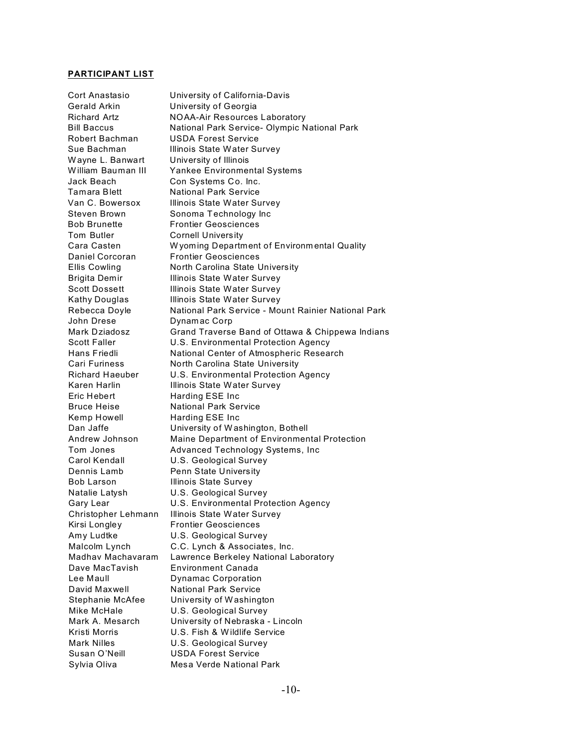#### **PARTICIPANT LIST**

| Cort Anastasio         | University of California-Davis                      |
|------------------------|-----------------------------------------------------|
| Gerald Arkin           | University of Georgia                               |
| <b>Richard Artz</b>    | <b>NOAA-Air Resources Laboratory</b>                |
| <b>Bill Baccus</b>     | National Park Service- Olympic National Park        |
| Robert Bachman         | USDA Forest Service                                 |
| Sue Bachman            | Illinois State Water Survey                         |
| Wayne L. Banwart       | University of Illinois                              |
| William Bauman III     | Yankee Environmental Systems                        |
| Jack Beach             | Con Systems Co. Inc.                                |
| Tamara Blett           | <b>National Park Service</b>                        |
| Van C. Bowersox        | Illinois State Water Survey                         |
| Steven Brown           | Sonoma Technology Inc                               |
| <b>Bob Brunette</b>    | <b>Frontier Geosciences</b>                         |
| Tom Butler             | <b>Cornell University</b>                           |
| Cara Casten            | Wyoming Department of Environmental Quality         |
| Daniel Corcoran        | <b>Frontier Geosciences</b>                         |
| Ellis Cowling          | North Carolina State University                     |
| <b>Brigita Demir</b>   | Illinois State Water Survey                         |
| <b>Scott Dossett</b>   | Illinois State Water Survey                         |
| Kathy Douglas          | Illinois State Water Survey                         |
| Rebecca Doyle          | National Park Service - Mount Rainier National Park |
| John Drese             |                                                     |
| Mark Dziadosz          | Dynamac Corp                                        |
|                        | Grand Traverse Band of Ottawa & Chippewa Indians    |
| <b>Scott Faller</b>    | U.S. Environmental Protection Agency                |
| Hans Friedli           | National Center of Atmospheric Research             |
| Cari Furiness          | North Carolina State University                     |
| <b>Richard Haeuber</b> | U.S. Environmental Protection Agency                |
| Karen Harlin           | Illinois State Water Survey                         |
| Eric Hebert            | Harding ESE Inc                                     |
| <b>Bruce Heise</b>     | <b>National Park Service</b>                        |
| Kemp Howell            | Harding ESE Inc                                     |
| Dan Jaffe              | University of Washington, Bothell                   |
| Andrew Johnson         | Maine Department of Environmental Protection        |
| Tom Jones              | Advanced Technology Systems, Inc                    |
| Carol Kendall          | U.S. Geological Survey                              |
| Dennis Lamb            | <b>Penn State University</b>                        |
| Bob Larson             | <b>Illinois State Survey</b>                        |
| Natalie Latysh         | U.S. Geological Survey                              |
| Gary Lear              | U.S. Environmental Protection Agency                |
|                        | Christopher Lehmann Illinois State Water Survey     |
| Kirsi Longley          | <b>Frontier Geosciences</b>                         |
| Amy Ludtke             | <b>U.S. Geological Survey</b>                       |
| Malcolm Lynch          | C.C. Lynch & Associates, Inc.                       |
| Madhav Machavaram      | Lawrence Berkeley National Laboratory               |
| Dave MacTavish         | <b>Environment Canada</b>                           |
| Lee Maull              | Dynamac Corporation                                 |
| David Maxwell          | <b>National Park Service</b>                        |
| Stephanie McAfee       | University of Washington                            |
| Mike McHale            | U.S. Geological Survey                              |
| Mark A. Mesarch        | University of Nebraska - Lincoln                    |
| Kristi Morris          | U.S. Fish & Wildlife Service                        |
| <b>Mark Nilles</b>     | U.S. Geological Survey                              |
| Susan O'Neill          | <b>USDA Forest Service</b>                          |
| Sylvia Oliva           | Mesa Verde National Park                            |